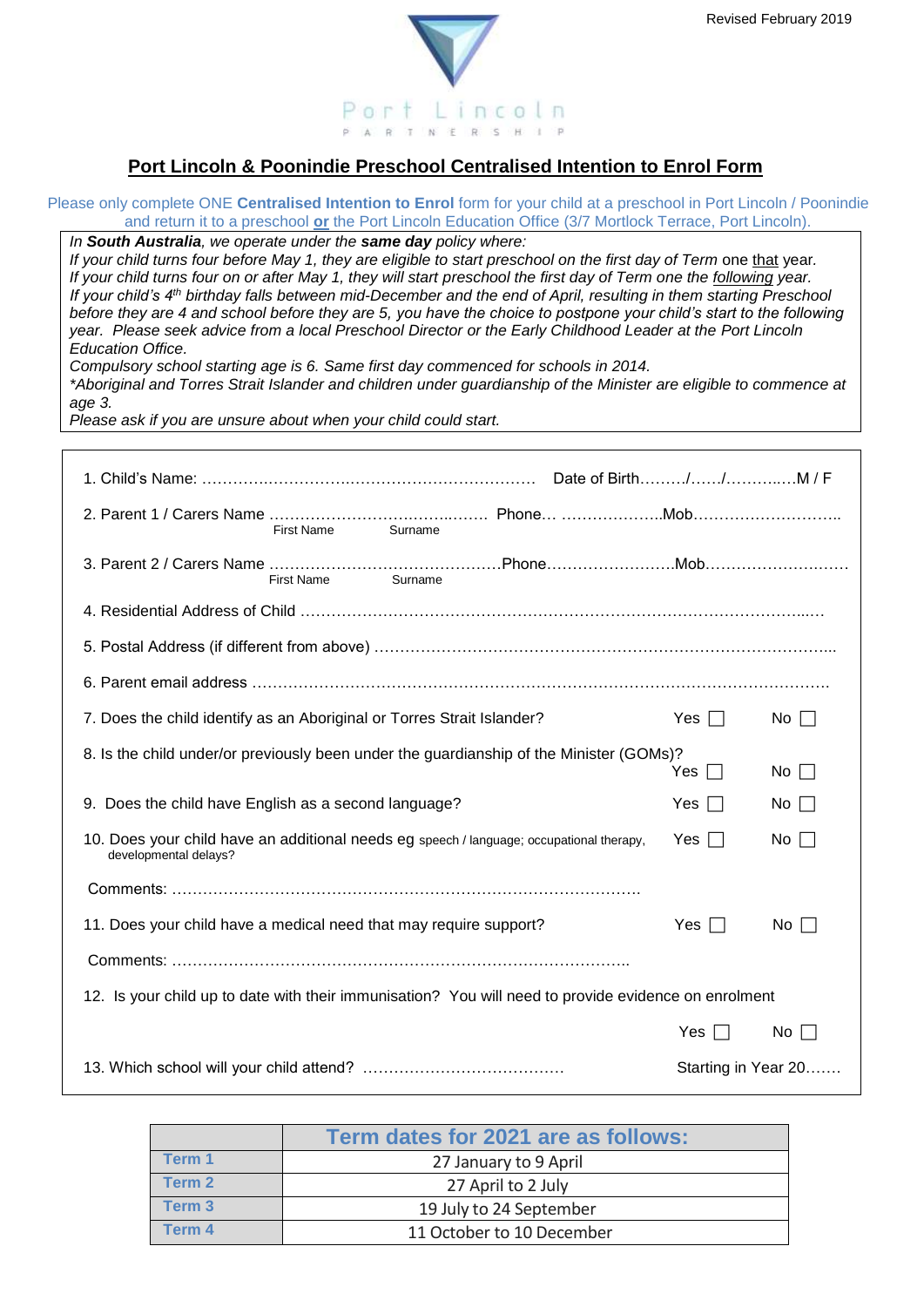



## **Port Lincoln & Poonindie Preschool Centralised Intention to Enrol Form**

Please only complete ONE **Centralised Intention to Enrol** form for your child at a preschool in Port Lincoln / Poonindie and return it to a preschool **or** the Port Lincoln Education Office (3/7 Mortlock Terrace, Port Lincoln).

*In South Australia, we operate under the same day policy where:*

*If your child turns four before May 1, they are eligible to start preschool on the first day of Term* one that year*. If your child turns four on or after May 1, they will start preschool the first day of Term one the following year. If your child's 4th birthday falls between mid-December and the end of April, resulting in them starting Preschool before they are 4 and school before they are 5, you have the choice to postpone your child's start to the following year. Please seek advice from a local Preschool Director or the Early Childhood Leader at the Port Lincoln Education Office.*

*Compulsory school starting age is 6. Same first day commenced for schools in 2014.*

*\*Aboriginal and Torres Strait Islander and children under guardianship of the Minister are eligible to commence at age 3.*

*Please ask if you are unsure about when your child could start.* 

| <b>First Name</b><br>Surname                                                                                                                 |                     |           |  |  |
|----------------------------------------------------------------------------------------------------------------------------------------------|---------------------|-----------|--|--|
| Surname<br>First Name                                                                                                                        |                     |           |  |  |
|                                                                                                                                              |                     |           |  |  |
|                                                                                                                                              |                     |           |  |  |
|                                                                                                                                              |                     |           |  |  |
| 7. Does the child identify as an Aboriginal or Torres Strait Islander?                                                                       | Yes $\Box$          | $No$      |  |  |
| 8. Is the child under/or previously been under the guardianship of the Minister (GOMs)?                                                      |                     |           |  |  |
|                                                                                                                                              | Yes $\Box$          | No $\Box$ |  |  |
| 9. Does the child have English as a second language?<br>Yes $\Box$<br>No $\Box$                                                              |                     |           |  |  |
| 10. Does your child have an additional needs eg speech / language; occupational therapy,<br>No $\Box$<br>Yes $\Box$<br>developmental delays? |                     |           |  |  |
|                                                                                                                                              |                     |           |  |  |
| 11. Does your child have a medical need that may require support?                                                                            | Yes $\Box$          | $No \Box$ |  |  |
|                                                                                                                                              |                     |           |  |  |
| 12. Is your child up to date with their immunisation? You will need to provide evidence on enrolment                                         |                     |           |  |  |
|                                                                                                                                              | Yes $\Box$          | No $\Box$ |  |  |
|                                                                                                                                              | Starting in Year 20 |           |  |  |

|                   | Term dates for 2021 are as follows: |
|-------------------|-------------------------------------|
| Term 1            | 27 January to 9 April               |
| Term 2            | 27 April to 2 July                  |
| Term <sub>3</sub> | 19 July to 24 September             |
| Term 4            | 11 October to 10 December           |